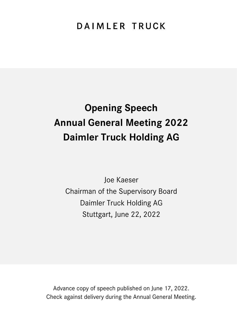# DAIMLER TRUCK

# **Opening Speech Annual General Meeting 2022 Daimler Truck Holding AG**

Joe Kaeser Chairman of the Supervisory Board Daimler Truck Holding AG Stuttgart, June 22, 2022

Advance copy of speech published on June 17, 2022. Check against delivery during the Annual General Meeting.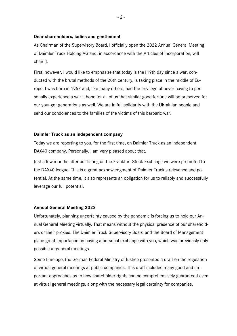#### **Dear shareholders, ladies and gentlemen!**

As Chairman of the Supervisory Board, I officially open the 2022 Annual General Meeting of Daimler Truck Holding AG and, in accordance with the Articles of Incorporation, will chair it.

First, however, I would like to emphasize that today is the119th day since a war, conducted with the brutal methods of the 20th century, is taking place in the middle of Europe. I was born in 1957 and, like many others, had the privilege of never having to personally experience a war. I hope for all of us that similar good fortune will be preserved for our younger generations as well. We are in full solidarity with the Ukrainian people and send our condolences to the families of the victims of this barbaric war.

# **Daimler Truck as an independent company**

Today we are reporting to you, for the first time, on Daimler Truck as an independent DAX40 company. Personally, I am very pleased about that.

Just a few months after our listing on the Frankfurt Stock Exchange we were promoted to the DAX40 league. This is a great acknowledgment of Daimler Truck's relevance and potential. At the same time, it also represents an obligation for us to reliably and successfully leverage our full potential.

# **Annual General Meeting 2022**

Unfortunately, planning uncertainty caused by the pandemic is forcing us to hold our Annual General Meeting virtually. That means without the physical presence of our shareholders or their proxies. The Daimler Truck Supervisory Board and the Board of Management place great importance on having a personal exchange with you, which was previously only possible at general meetings.

Some time ago, the German Federal Ministry of Justice presented a draft on the regulation of virtual general meetings at public companies. This draft included many good and important approaches as to how shareholder rights can be comprehensively guaranteed even at virtual general meetings, along with the necessary legal certainty for companies.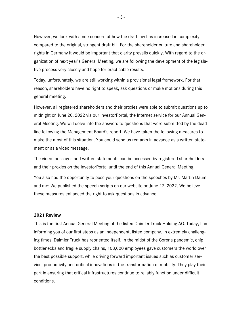However, we look with some concern at how the draft law has increased in complexity compared to the original, stringent draft bill. For the shareholder culture and shareholder rights in Germany it would be important that clarity prevails quickly. With regard to the organization of next year's General Meeting, we are following the development of the legislative process very closely and hope for practicable results.

Today, unfortunately, we are still working within a provisional legal framework. For that reason, shareholders have no right to speak, ask questions or make motions during this general meeting.

However, all registered shareholders and their proxies were able to submit questions up to midnight on June 20, 2022 via our InvestorPortal, the Internet service for our Annual General Meeting. We will delve into the answers to questions that were submitted by the deadline following the Management Board's report. We have taken the following measures to make the most of this situation. You could send us remarks in advance as a written statement or as a video message.

The video messages and written statements can be accessed by registered shareholders and their proxies on the InvestorPortal until the end of this Annual General Meeting.

You also had the opportunity to pose your questions on the speeches by Mr. Martin Daum and me: We published the speech scripts on our website on June 17, 2022. We believe these measures enhanced the right to ask questions in advance.

#### **2021 Review**

This is the first Annual General Meeting of the listed Daimler Truck Holding AG. Today, I am informing you of our first steps as an independent, listed company. In extremely challenging times, Daimler Truck has reoriented itself. In the midst of the Corona pandemic, chip bottlenecks and fragile supply chains, 103,000 employees gave customers the world over the best possible support, while driving forward important issues such as customer service, productivity and critical innovations in the transformation of mobility. They play their part in ensuring that critical infrastructures continue to reliably function under difficult conditions.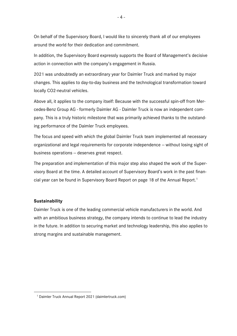On behalf of the Supervisory Board, I would like to sincerely thank all of our employees around the world for their dedication and commitment.

In addition, the Supervisory Board expressly supports the Board of Management's decisive action in connection with the company's engagement in Russia.

2021 was undoubtedly an extraordinary year for Daimler Truck and marked by major changes. This applies to day-to-day business and the technological transformation toward locally CO2-neutral vehicles.

Above all, it applies to the company itself: Because with the successful spin-off from Mercedes-Benz Group AG - formerly Daimler AG - Daimler Truck is now an independent company. This is a truly historic milestone that was primarily achieved thanks to the outstanding performance of the Daimler Truck employees.

The focus and speed with which the global Daimler Truck team implemented all necessary organizational and legal requirements for corporate independence -- without losing sight of business operations - deserves great respect.

The preparation and implementation of this major step also shaped the work of the Supervisory Board at the time. A detailed account of Supervisory Board's work in the past financial year can be found in Supervisory Board Report on page 18 of the Annual Report. 1

# **Sustainability**

<u>.</u>

Daimler Truck is one of the leading commercial vehicle manufacturers in the world. And with an ambitious business strategy, the company intends to continue to lead the industry in the future. In addition to securing market and technology leadership, this also applies to strong margins and sustainable management.

<sup>1</sup> [Daimler Truck Annual Report 2021 \(daimlertruck.com\)](https://www.daimlertruck.com/documents/investors/reports/annual-reports/daimler-truck-ir-annual-report-2021-incl-combined-management-report-dth-ag.pdf#page=18)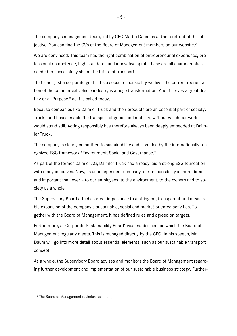The company's management team, led by CEO Martin Daum, is at the forefront of this objective. You can find the CVs of the Board of Management members on our website. $^2$ 

We are convinced: This team has the right combination of entrepreneurial experience, professional competence, high standards and innovative spirit. These are all characteristics needed to successfully shape the future of transport.

That's not just a corporate goal – it's a social responsibility we live. The current reorientation of the commercial vehicle industry is a huge transformation. And it serves a great destiny or a "Purpose," as it is called today.

Because companies like Daimler Truck and their products are an essential part of society. Trucks and buses enable the transport of goods and mobility, without which our world would stand still. Acting responsibly has therefore always been deeply embedded at Daimler Truck.

The company is clearly committed to sustainability and is guided by the internationally recognized ESG framework "Environment, Social and Governance."

As part of the former Daimler AG, Daimler Truck had already laid a strong ESG foundation with many initiatives. Now, as an independent company, our responsibility is more direct and important than ever – to our employees, to the environment, to the owners and to society as a whole.

The Supervisory Board attaches great importance to a stringent, transparent and measurable expansion of the company's sustainable, social and market-oriented activities. Together with the Board of Management, it has defined rules and agreed on targets.

Furthermore, a "Corporate Sustainability Board" was established, as which the Board of Management regularly meets. This is managed directly by the CEO. In his speech, Mr. Daum will go into more detail about essential elements, such as our sustainable transport concept.

As a whole, the Supervisory Board advises and monitors the Board of Management regarding further development and implementation of our sustainable business strategy. Further-

<u>.</u>

<sup>2</sup> [The Board of Management \(daimlertruck.com\)](https://www.daimlertruck.com/company/corporate-governance/board-of-management/)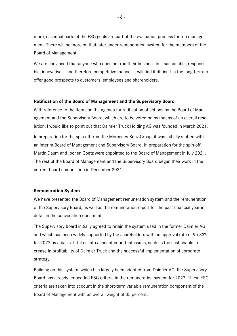more, essential parts of the ESG goals are part of the evaluation process for top management. There will be more on that later under remuneration system for the members of the Board of Management.

We are convinced that anyone who does not run their business in a sustainable, responsible, innovative  $-$  and therefore competitive manner  $-$  will find it difficult in the long-term to offer good prospects to customers, employees and shareholders.

#### **Ratification of the Board of Management and the Supervisory Board**

With reference to the items on the agenda for ratification of actions by the Board of Management and the Supervisory Board, which are to be voted on by means of an overall resolution, I would like to point out that Daimler Truck Holding AG was founded in March 2021. In preparation for the spin-off from the Mercedes-Benz Group, it was initially staffed with an interim Board of Management and Supervisory Board. In preparation for the spin-off, Martin Daum and Jochen Goetz were appointed to the Board of Management in July 2021. The rest of the Board of Management and the Supervisory Board began their work in the

current board composition in December 2021.

#### **Remuneration System**

We have presented the Board of Management remuneration system and the remuneration of the Supervisory Board, as well as the remuneration report for the past financial year in detail in the convocation document.

The Supervisory Board initially agreed to retain the system used in the former Daimler AG and which has been widely supported by the shareholders with an approval rate of 95.33% for 2022 as a basis. It takes into account important issues, such as the sustainable increase in profitability of Daimler Truck and the successful implementation of corporate strategy.

Building on this system, which has largely been adopted from Daimler AG, the Supervisory Board has already embedded ESG criteria in the remuneration system for 2022. These ESG criteria are taken into account in the short-term variable remuneration component of the Board of Management with an overall weight of 35 percent.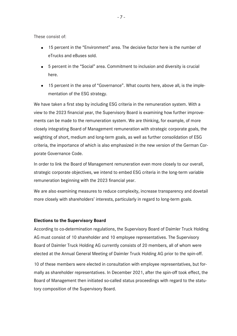These consist of:

- 15 percent in the "Environment" area. The decisive factor here is the number of eTrucks and eBuses sold.
- 5 percent in the "Social" area. Commitment to inclusion and diversity is crucial here.
- 15 percent in the area of "Governance". What counts here, above all, is the implementation of the ESG strategy.

We have taken a first step by including ESG criteria in the remuneration system. With a view to the 2023 financial year, the Supervisory Board is examining how further improvements can be made to the remuneration system. We are thinking, for example, of more closely integrating Board of Management remuneration with strategic corporate goals, the weighting of short, medium and long-term goals, as well as further consolidation of ESG criteria, the importance of which is also emphasized in the new version of the German Corporate Governance Code.

In order to link the Board of Management remuneration even more closely to our overall, strategic corporate objectives, we intend to embed ESG criteria in the long-term variable remuneration beginning with the 2023 financial year.

We are also examining measures to reduce complexity, increase transparency and dovetail more closely with shareholders' interests, particularly in regard to long-term goals.

#### **Elections to the Supervisory Board**

According to co-determination regulations, the Supervisory Board of Daimler Truck Holding AG must consist of 10 shareholder and 10 employee representatives. The Supervisory Board of Daimler Truck Holding AG currently consists of 20 members, all of whom were elected at the Annual General Meeting of Daimler Truck Holding AG prior to the spin-off.

10 of these members were elected in consultation with employee representatives, but formally as shareholder representatives. In December 2021, after the spin-off took effect, the Board of Management then initiated so-called status proceedings with regard to the statutory composition of the Supervisory Board.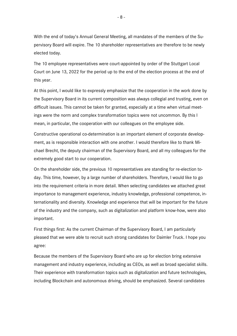With the end of today's Annual General Meeting, all mandates of the members of the Supervisory Board will expire. The 10 shareholder representatives are therefore to be newly elected today.

The 10 employee representatives were court-appointed by order of the Stuttgart Local Court on June 13, 2022 for the period up to the end of the election process at the end of this year.

At this point, I would like to expressly emphasize that the cooperation in the work done by the Supervisory Board in its current composition was always collegial and trusting, even on difficult issues. This cannot be taken for granted, especially at a time when virtual meetings were the norm and complex transformation topics were not uncommon. By this I mean, in particular, the cooperation with our colleagues on the employee side.

Constructive operational co-determination is an important element of corporate development, as is responsible interaction with one another. I would therefore like to thank Michael Brecht, the deputy chairman of the Supervisory Board, and all my colleagues for the extremely good start to our cooperation.

On the shareholder side, the previous 10 representatives are standing for re-election today. This time, however, by a large number of shareholders. Therefore, I would like to go into the requirement criteria in more detail. When selecting candidates we attached great importance to management experience, industry knowledge, professional competence, internationality and diversity. Knowledge and experience that will be important for the future of the industry and the company, such as digitalization and platform know-how, were also important.

First things first: As the current Chairman of the Supervisory Board, I am particularly pleased that we were able to recruit such strong candidates for Daimler Truck. I hope you agree:

Because the members of the Supervisory Board who are up for election bring extensive management and industry experience, including as CEOs, as well as broad specialist skills. Their experience with transformation topics such as digitalization and future technologies, including Blockchain and autonomous driving, should be emphasized. Several candidates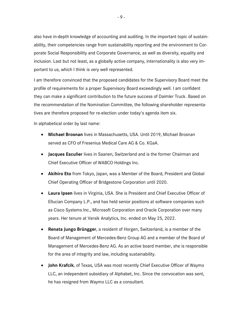also have in-depth knowledge of accounting and auditing. In the important topic of sustainability, their competencies range from sustainability reporting and the environment to Corporate Social Responsibility and Corporate Governance, as well as diversity, equality and inclusion. Last but not least, as a globally active company, internationality is also very important to us, which I think is very well represented.

I am therefore convinced that the proposed candidates for the Supervisory Board meet the profile of requirements for a proper Supervisory Board exceedingly well. I am confident they can make a significant contribution to the future success of Daimler Truck. Based on the recommendation of the Nomination Committee, the following shareholder representatives are therefore proposed for re-election under today's agenda item six.

In alphabetical order by last name:

- **Michael Brosnan** lives in Massachusetts, USA. Until 2019, Michael Brosnan served as CFO of Fresenius Medical Care AG & Co. KGaA.
- **Jacques Esculier** lives in Saanen, Switzerland and is the former Chairman and Chief Executive Officer of WABCO Holdings Inc.
- **Akihiro Eto** from Tokyo, Japan, was a Member of the Board, President and Global Chief Operating Officer of Bridgestone Corporation until 2020.
- **Laura Ipsen** lives in Virginia, USA. She is President and Chief Executive Officer of Ellucian Company L.P., and has held senior positions at software companies such as Cisco Systems Inc., Microsoft Corporation and Oracle Corporation over many years. Her tenure at Versik Analytics, Inc. ended on May 25, 2022.
- **Renata Jungo Brüngger**, a resident of Horgen, Switzerland, is a member of the Board of Management of Mercedes-Benz Group AG and a member of the Board of Management of Mercedes-Benz AG. As an active board member, she is responsible for the area of integrity and law, including sustainability.
- **John Krafcik**, of Texas, USA was most recently Chief Executive Officer of Waymo LLC, an independent subsidiary of Alphabet, Inc. Since the convocation was sent, he has resigned from Waymo LLC as a consultant.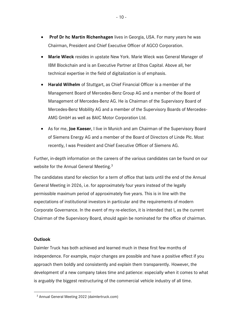- **Prof Dr hc Martin Richenhagen** lives in Georgia, USA. For many years he was Chairman, President and Chief Executive Officer of AGCO Corporation.
- **Marie Wieck** resides in upstate New York. Marie Wieck was General Manager of IBM Blockchain and is an Executive Partner at Ethos Capital. Above all, her technical expertise in the field of digitalization is of emphasis.
- **Harald Wilhelm** of Stuttgart, as Chief Financial Officer is a member of the Management Board of Mercedes-Benz Group AG and a member of the Board of Management of Mercedes-Benz AG. He is Chairman of the Supervisory Board of Mercedes-Benz Mobility AG and a member of the Supervisory Boards of Mercedes-AMG GmbH as well as BAIC Motor Corporation Ltd.
- As for me, **Joe Kaeser**, I live in Munich and am Chairman of the Supervisory Board of Siemens Energy AG and a member of the Board of Directors of Linde Plc. Most recently, I was President and Chief Executive Officer of Siemens AG.

Further, in-depth information on the careers of the various candidates can be found on our website for the Annual General Meeting.<sup>3</sup>

The candidates stand for election for a term of office that lasts until the end of the Annual General Meeting in 2026, i.e. for approximately four years instead of the legally permissible maximum period of approximately five years. This is in line with the expectations of institutional investors in particular and the requirements of modern Corporate Governance. In the event of my re-election, it is intended that I, as the current Chairman of the Supervisory Board, should again be nominated for the office of chairman.

# **Outlook**

<u>.</u>

Daimler Truck has both achieved and learned much in these first few months of independence. For example, major changes are possible and have a positive effect if you approach them boldly and consistently and explain them transparently. However, the development of a new company takes time and patience: especially when it comes to what is arguably the biggest restructuring of the commercial vehicle industry of all time.

<sup>3</sup> [Annual General Meeting 2022 \(daimlertruck.com\)](https://www.daimlertruck.com/investors/financial-calendar/annual-meetings/annual-general-meeting-2022/)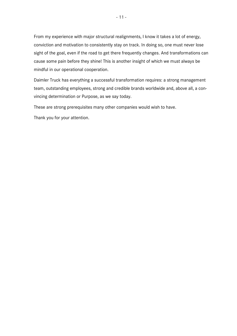From my experience with major structural realignments, I know it takes a lot of energy, conviction and motivation to consistently stay on track. In doing so, one must never lose sight of the goal, even if the road to get there frequently changes. And transformations can cause some pain before they shine! This is another insight of which we must always be mindful in our operational cooperation.

Daimler Truck has everything a successful transformation requires: a strong management team, outstanding employees, strong and credible brands worldwide and, above all, a convincing determination or Purpose, as we say today.

These are strong prerequisites many other companies would wish to have.

Thank you for your attention.